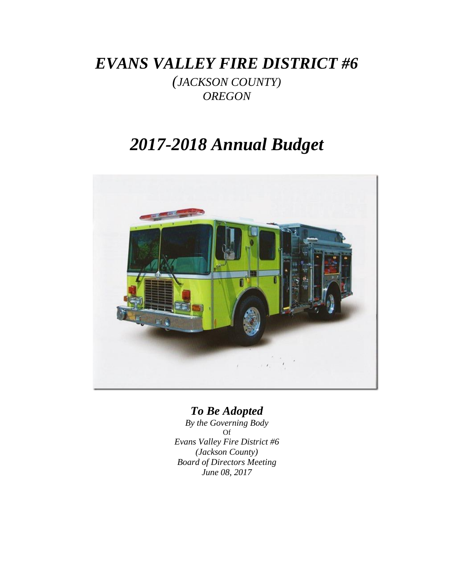*EVANS VALLEY FIRE DISTRICT #6*

*(JACKSON COUNTY) OREGON*

# *2017-2018 Annual Budget*



## *To Be Adopted*

*By the Governing Body* Of *Evans Valley Fire District #6 (Jackson County) Board of Directors Meeting June 08, 2017*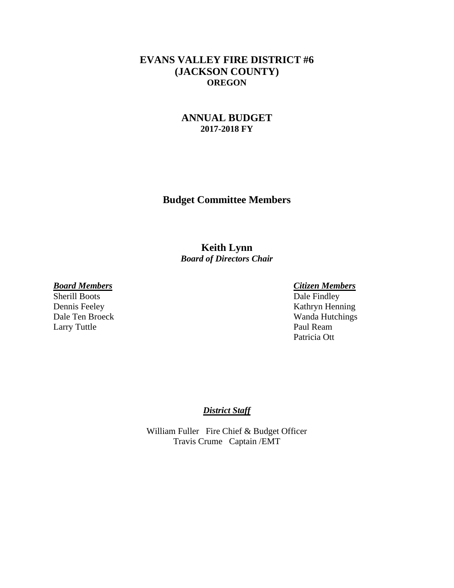## **EVANS VALLEY FIRE DISTRICT #6 (JACKSON COUNTY) OREGON**

## **ANNUAL BUDGET 2017-2018 FY**

**Budget Committee Members**

## **Keith Lynn** *Board of Directors Chair*

### *Board Members Citizen Members*

Larry Tuttle Paul Ream

Sherill Boots Dale Findley Dennis Feeley Kathryn Henning Dale Ten Broeck Wanda Hutchings Patricia Ott

#### *District Staff*

William Fuller Fire Chief & Budget Officer Travis Crume Captain /EMT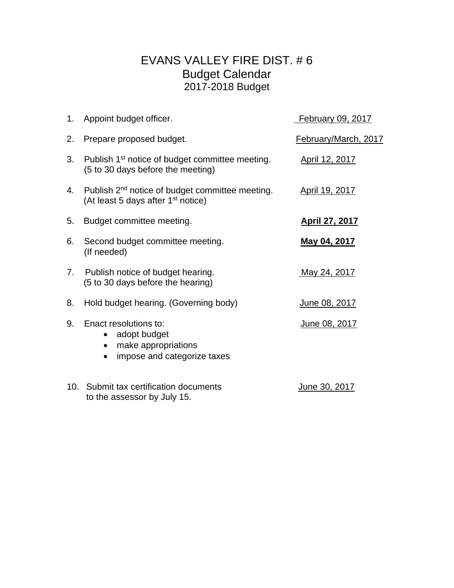## EVANS VALLEY FIRE DIST. # 6 Budget Calendar 2017-2018 Budget

|    | 1. Appoint budget officer.                                                                                    | February 09, 2017     |
|----|---------------------------------------------------------------------------------------------------------------|-----------------------|
| 2. | Prepare proposed budget.                                                                                      | February/March, 2017  |
| 3. | Publish 1 <sup>st</sup> notice of budget committee meeting.<br>(5 to 30 days before the meeting)              | April 12, 2017        |
| 4. | Publish 2 <sup>nd</sup> notice of budget committee meeting.<br>(At least 5 days after 1 <sup>st</sup> notice) | April 19, 2017        |
| 5. | Budget committee meeting.                                                                                     | <u>April 27, 2017</u> |
| 6. | Second budget committee meeting.<br>(If needed)                                                               | <u>May 04, 2017</u>   |
| 7. | Publish notice of budget hearing.<br>(5 to 30 days before the hearing)                                        | May 24, 2017          |
| 8. | Hold budget hearing. (Governing body)                                                                         | <u>June 08, 2017</u>  |
| 9. | Enact resolutions to:<br>adopt budget<br>$\bullet$<br>make appropriations<br>impose and categorize taxes      | June 08, 2017         |
|    | 10. Submit tax certification documents<br>to the assessor by July 15.                                         | June 30, 2017         |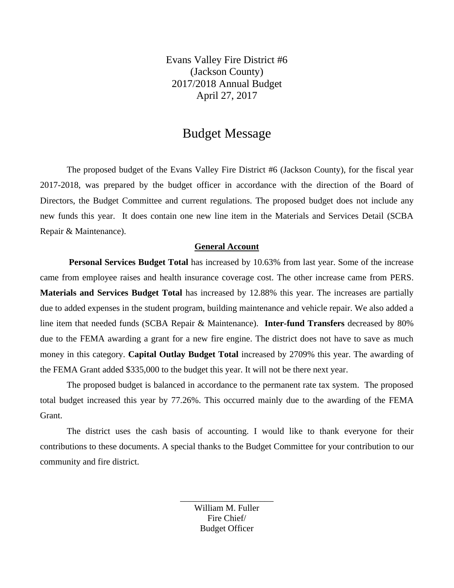Evans Valley Fire District #6 (Jackson County) 2017/2018 Annual Budget April 27, 2017

## Budget Message

The proposed budget of the Evans Valley Fire District #6 (Jackson County), for the fiscal year 2017-2018, was prepared by the budget officer in accordance with the direction of the Board of Directors, the Budget Committee and current regulations. The proposed budget does not include any new funds this year. It does contain one new line item in the Materials and Services Detail (SCBA Repair & Maintenance).

#### **General Account**

**Personal Services Budget Total** has increased by 10.63% from last year. Some of the increase came from employee raises and health insurance coverage cost. The other increase came from PERS. **Materials and Services Budget Total** has increased by 12.88% this year. The increases are partially due to added expenses in the student program, building maintenance and vehicle repair. We also added a line item that needed funds (SCBA Repair & Maintenance). **Inter-fund Transfers** decreased by 80% due to the FEMA awarding a grant for a new fire engine. The district does not have to save as much money in this category. **Capital Outlay Budget Total** increased by 2709% this year. The awarding of the FEMA Grant added \$335,000 to the budget this year. It will not be there next year.

The proposed budget is balanced in accordance to the permanent rate tax system. The proposed total budget increased this year by 77.26%. This occurred mainly due to the awarding of the FEMA Grant.

The district uses the cash basis of accounting. I would like to thank everyone for their contributions to these documents. A special thanks to the Budget Committee for your contribution to our community and fire district.

> William M. Fuller Fire Chief/ Budget Officer

\_\_\_\_\_\_\_\_\_\_\_\_\_\_\_\_\_\_\_\_\_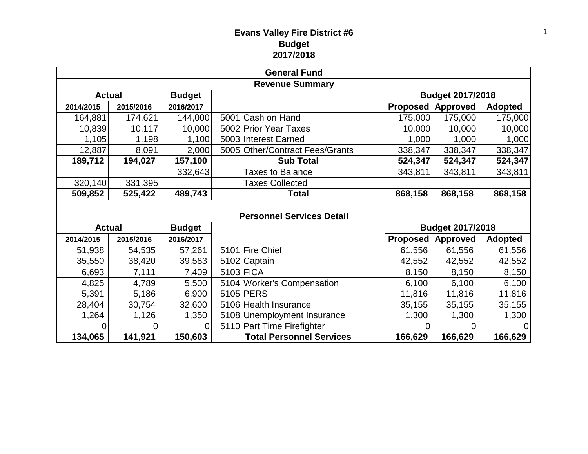## **Evans Valley Fire District #6 Budget 2017/2018**

| <b>General Fund</b>            |               |               |                                  |                  |                 |                |  |  |
|--------------------------------|---------------|---------------|----------------------------------|------------------|-----------------|----------------|--|--|
| <b>Revenue Summary</b>         |               |               |                                  |                  |                 |                |  |  |
| <b>Budget</b><br><b>Actual</b> |               |               |                                  | Budget 2017/2018 |                 |                |  |  |
| 2014/2015                      | 2015/2016     | 2016/2017     |                                  | Proposed         | <b>Approved</b> | <b>Adopted</b> |  |  |
| 164,881                        | 174,621       | 144,000       | 5001 Cash on Hand                | 175,000          | 175,000         | 175,000        |  |  |
| 10,839                         | 10,117        | 10,000        | 5002 Prior Year Taxes            | 10,000           | 10,000          | 10,000         |  |  |
| 1,105                          | 1,198         | 1,100         | 5003 Interest Earned             | 1,000            | 1,000           | 1,000          |  |  |
| 12,887                         | 8,091         | 2,000         | 5005 Other/Contract Fees/Grants  | 338,347          | 338,347         | 338,347        |  |  |
| 189,712                        | 194,027       | 157,100       | <b>Sub Total</b>                 | 524,347          | 524,347         | 524,347        |  |  |
|                                |               | 332,643       | <b>Taxes to Balance</b>          | 343,811          | 343,811         | 343,811        |  |  |
| 320,140                        | 331,395       |               | <b>Taxes Collected</b>           |                  |                 |                |  |  |
| 509,852                        | 525,422       | 489,743       | Total                            | 868,158          | 868,158         | 868,158        |  |  |
|                                |               |               |                                  |                  |                 |                |  |  |
|                                |               |               | <b>Personnel Services Detail</b> |                  |                 |                |  |  |
|                                | <b>Actual</b> | <b>Budget</b> |                                  | Budget 2017/2018 |                 |                |  |  |
| 2014/2015                      | 2015/2016     | 2016/2017     |                                  | Proposed         | Approved        | <b>Adopted</b> |  |  |
| 51,938                         | 54,535        | 57,261        | 5101 Fire Chief                  | 61,556           | 61,556          | 61,556         |  |  |
| 35,550                         | 38,420        | 39,583        | 5102 Captain                     | 42,552           | 42,552          | 42,552         |  |  |
| 6,693                          | 7,111         | 7,409         | 5103 FICA                        | 8,150            | 8,150           | 8,150          |  |  |
| 4,825                          | 4,789         | 5,500         | 5104 Worker's Compensation       | 6,100            | 6,100           | 6,100          |  |  |
| 5,391                          | 5,186         | 6,900         | 5105 PERS                        | 11,816           | 11,816          | 11,816         |  |  |
| 28,404                         | 30,754        | 32,600        | 5106 Health Insurance            | 35,155           | 35,155          | 35,155         |  |  |
| 1,264                          | 1,126         | 1,350         | 5108 Unemployment Insurance      | 1,300            | 1,300           | 1,300          |  |  |
| 0                              | 0             | $\Omega$      | 5110 Part Time Firefighter       | 0                | 0               | $\Omega$       |  |  |
|                                |               |               |                                  |                  |                 |                |  |  |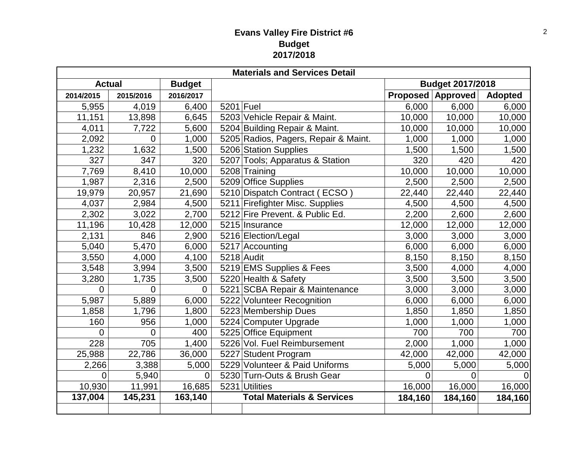## **Evans Valley Fire District #6 Budget 2017/2018**

| <b>Materials and Services Detail</b> |                |           |                         |                                       |         |                          |                |  |
|--------------------------------------|----------------|-----------|-------------------------|---------------------------------------|---------|--------------------------|----------------|--|
| <b>Budget</b><br><b>Actual</b>       |                |           | <b>Budget 2017/2018</b> |                                       |         |                          |                |  |
| 2014/2015                            | 2015/2016      | 2016/2017 |                         |                                       |         | <b>Proposed Approved</b> | <b>Adopted</b> |  |
| 5,955                                | 4,019          | 6,400     | $5201$ Fuel             |                                       | 6,000   | 6,000                    | 6,000          |  |
| 11,151                               | 13,898         | 6,645     |                         | 5203 Vehicle Repair & Maint.          | 10,000  | 10,000                   | 10,000         |  |
| 4,011                                | 7,722          | 5,600     |                         | 5204 Building Repair & Maint.         | 10,000  | 10,000                   | 10,000         |  |
| 2,092                                | $\Omega$       | 1,000     |                         | 5205 Radios, Pagers, Repair & Maint.  | 1,000   | 1,000                    | 1,000          |  |
| 1,232                                | 1,632          | 1,500     |                         | 5206 Station Supplies                 | 1,500   | 1,500                    | 1,500          |  |
| 327                                  | 347            | 320       |                         | 5207 Tools; Apparatus & Station       | 320     | 420                      | 420            |  |
| 7,769                                | 8,410          | 10,000    |                         | 5208 Training                         | 10,000  | 10,000                   | 10,000         |  |
| 1,987                                | 2,316          | 2,500     |                         | 5209 Office Supplies                  | 2,500   | 2,500                    | 2,500          |  |
| 19,979                               | 20,957         | 21,690    |                         | 5210 Dispatch Contract (ECSO          | 22,440  | 22,440                   | 22,440         |  |
| 4,037                                | 2,984          | 4,500     |                         | 5211 Firefighter Misc. Supplies       | 4,500   | 4,500                    | 4,500          |  |
| 2,302                                | 3,022          | 2,700     |                         | 5212 Fire Prevent. & Public Ed.       | 2,200   | 2,600                    | 2,600          |  |
| 11,196                               | 10,428         | 12,000    |                         | 5215 Insurance                        | 12,000  | 12,000                   | 12,000         |  |
| 2,131                                | 846            | 2,900     |                         | 5216 Election/Legal                   | 3,000   | 3,000                    | 3,000          |  |
| 5,040                                | 5,470          | 6,000     |                         | 5217 Accounting                       | 6,000   | 6,000                    | 6,000          |  |
| 3,550                                | 4,000          | 4,100     |                         | 5218 Audit                            | 8,150   | 8,150                    | 8,150          |  |
| 3,548                                | 3,994          | 3,500     |                         | 5219 EMS Supplies & Fees              | 3,500   | 4,000                    | 4,000          |  |
| 3,280                                | 1,735          | 3,500     |                         | 5220 Health & Safety                  | 3,500   | 3,500                    | 3,500          |  |
| 0                                    | $\mathbf 0$    | 0         |                         | 5221 SCBA Repair & Maintenance        | 3,000   | 3,000                    | 3,000          |  |
| 5,987                                | 5,889          | 6,000     |                         | 5222 Volunteer Recognition            | 6,000   | 6,000                    | 6,000          |  |
| 1,858                                | 1,796          | 1,800     |                         | 5223 Membership Dues                  | 1,850   | 1,850                    | 1,850          |  |
| 160                                  | 956            | 1,000     |                         | 5224 Computer Upgrade                 | 1,000   | 1,000                    | 1,000          |  |
| 0                                    | $\overline{0}$ | 400       |                         | 5225 Office Equipment                 | 700     | 700                      | 700            |  |
| 228                                  | 705            | 1,400     |                         | 5226 Vol. Fuel Reimbursement          | 2,000   | 1,000                    | 1,000          |  |
| 25,988                               | 22,786         | 36,000    |                         | 5227 Student Program                  | 42,000  | 42,000                   | 42,000         |  |
| 2,266                                | 3,388          | 5,000     |                         | 5229 Volunteer & Paid Uniforms        | 5,000   | 5,000                    | 5,000          |  |
| 0                                    | 5,940          | $\Omega$  |                         | 5230 Turn-Outs & Brush Gear           | 0       | 0                        |                |  |
| 10,930                               | 11,991         | 16,685    |                         | 5231 Utilities                        | 16,000  | 16,000                   | 16,000         |  |
| 137,004                              | 145,231        | 163,140   |                         | <b>Total Materials &amp; Services</b> | 184,160 | 184,160                  | 184,160        |  |
|                                      |                |           |                         |                                       |         |                          |                |  |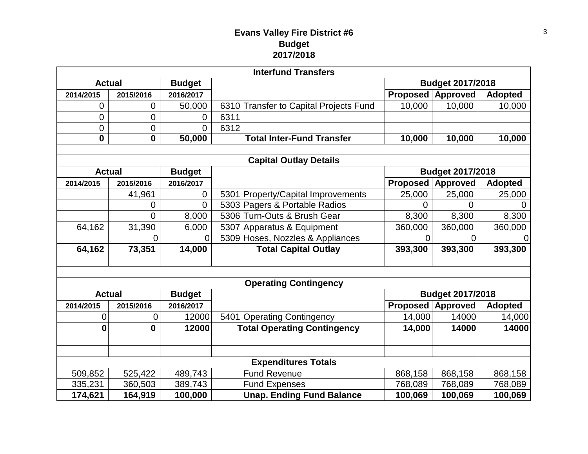## **Evans Valley Fire District #6 Budget 2017/2018**

|                                |                |                | <b>Interfund Transfers</b>             |                         |                  |                |  |  |
|--------------------------------|----------------|----------------|----------------------------------------|-------------------------|------------------|----------------|--|--|
| <b>Actual</b>                  |                | <b>Budget</b>  |                                        | <b>Budget 2017/2018</b> |                  |                |  |  |
| 2014/2015                      | 2015/2016      | 2016/2017      |                                        | <b>Proposed</b>         | <b>Approved</b>  | <b>Adopted</b> |  |  |
| 0                              | 0              | 50,000         | 6310 Transfer to Capital Projects Fund | 10,000                  | 10,000           | 10,000         |  |  |
| 0                              | $\mathbf 0$    | 0              | 6311                                   |                         |                  |                |  |  |
| 0                              | $\overline{0}$ | $\overline{0}$ | 6312                                   |                         |                  |                |  |  |
| $\mathbf{0}$                   | $\mathbf 0$    | 50,000         | <b>Total Inter-Fund Transfer</b>       | 10,000                  | 10,000           | 10,000         |  |  |
|                                |                |                |                                        |                         |                  |                |  |  |
|                                |                |                | <b>Capital Outlay Details</b>          |                         |                  |                |  |  |
| <b>Actual</b>                  |                | <b>Budget</b>  |                                        |                         | Budget 2017/2018 |                |  |  |
| 2014/2015                      | 2015/2016      | 2016/2017      |                                        | <b>Proposed</b>         | <b>Approved</b>  | <b>Adopted</b> |  |  |
|                                | 41,961         | $\mathbf 0$    | 5301 Property/Capital Improvements     | 25,000                  | 25,000           | 25,000         |  |  |
|                                | 0              | 0              | 5303 Pagers & Portable Radios          | 0                       | $\overline{0}$   | 0              |  |  |
|                                | $\overline{0}$ | 8,000          | 5306 Turn-Outs & Brush Gear            | 8,300                   | 8,300            | 8,300          |  |  |
| 64,162                         | 31,390         | 6,000          | 5307 Apparatus & Equipment             | 360,000                 | 360,000          | 360,000        |  |  |
|                                | 0              | $\overline{0}$ | 5309 Hoses, Nozzles & Appliances       | 0                       | 0                | $\overline{0}$ |  |  |
| 64,162                         | 73,351         | 14,000         | <b>Total Capital Outlay</b>            | 393,300                 | 393,300          | 393,300        |  |  |
|                                |                |                |                                        |                         |                  |                |  |  |
|                                |                |                |                                        |                         |                  |                |  |  |
|                                |                |                | <b>Operating Contingency</b>           |                         |                  |                |  |  |
| <b>Actual</b><br><b>Budget</b> |                |                |                                        | <b>Budget 2017/2018</b> |                  |                |  |  |
| 2014/2015                      | 2015/2016      | 2016/2017      |                                        | <b>Proposed</b>         | <b>Approved</b>  | <b>Adopted</b> |  |  |
| 0                              | 0              | 12000          | 5401 Operating Contingency             | 14,000                  | 14000            | 14,000         |  |  |
| 0                              | $\mathbf 0$    | 12000          | <b>Total Operating Contingency</b>     | 14,000                  | 14000            | 14000          |  |  |
|                                |                |                |                                        |                         |                  |                |  |  |
|                                |                |                |                                        |                         |                  |                |  |  |
| <b>Expenditures Totals</b>     |                |                |                                        |                         |                  |                |  |  |
| 509,852                        | 525,422        | 489,743        | <b>Fund Revenue</b>                    | 868,158                 | 868,158          | 868,158        |  |  |
| 335,231                        | 360,503        | 389,743        | <b>Fund Expenses</b>                   | 768,089                 | 768,089          | 768,089        |  |  |
| 174,621                        | 164,919        | 100,000        | <b>Unap. Ending Fund Balance</b>       | 100,069                 | 100,069          | 100,069        |  |  |